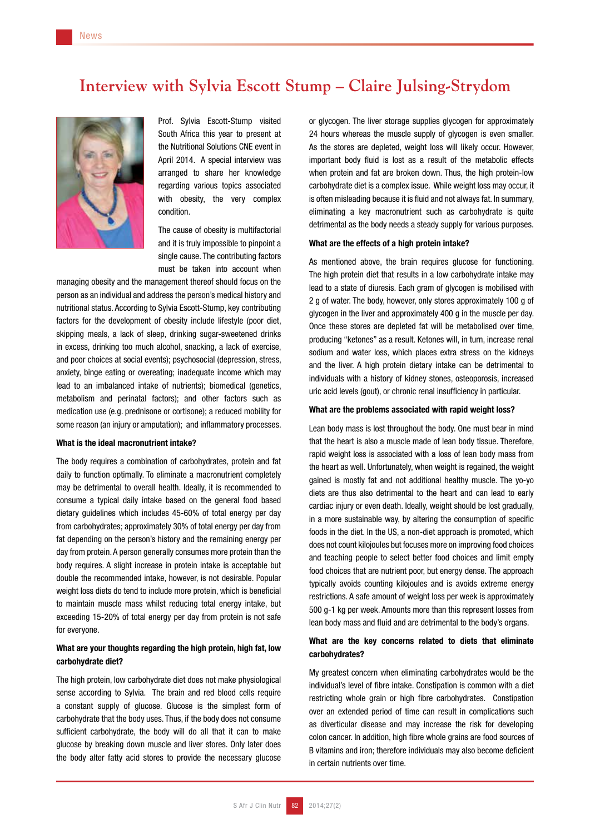# **Interview with Sylvia Escott Stump – Claire Julsing-Strydom**



Prof. Sylvia Escott-Stump visited South Africa this year to present at the Nutritional Solutions CNE event in April 2014. A special interview was arranged to share her knowledge regarding various topics associated with obesity, the very complex condition.

The cause of obesity is multifactorial and it is truly impossible to pinpoint a single cause. The contributing factors must be taken into account when

managing obesity and the management thereof should focus on the person as an individual and address the person's medical history and nutritional status. According to Sylvia Escott-Stump, key contributing factors for the development of obesity include lifestyle (poor diet, skipping meals, a lack of sleep, drinking sugar-sweetened drinks in excess, drinking too much alcohol, snacking, a lack of exercise, and poor choices at social events); psychosocial (depression, stress, anxiety, binge eating or overeating; inadequate income which may lead to an imbalanced intake of nutrients); biomedical (genetics, metabolism and perinatal factors); and other factors such as medication use (e.g. prednisone or cortisone); a reduced mobility for some reason (an injury or amputation); and inflammatory processes.

### What is the ideal macronutrient intake?

The body requires a combination of carbohydrates, protein and fat daily to function optimally. To eliminate a macronutrient completely may be detrimental to overall health. Ideally, it is recommended to consume a typical daily intake based on the general food based dietary guidelines which includes 45-60% of total energy per day from carbohydrates; approximately 30% of total energy per day from fat depending on the person's history and the remaining energy per day from protein. A person generally consumes more protein than the body requires. A slight increase in protein intake is acceptable but double the recommended intake, however, is not desirable. Popular weight loss diets do tend to include more protein, which is beneficial to maintain muscle mass whilst reducing total energy intake, but exceeding 15-20% of total energy per day from protein is not safe for everyone.

# What are your thoughts regarding the high protein, high fat, low carbohydrate diet?

The high protein, low carbohydrate diet does not make physiological sense according to Sylvia. The brain and red blood cells require a constant supply of glucose. Glucose is the simplest form of carbohydrate that the body uses. Thus, if the body does not consume sufficient carbohydrate, the body will do all that it can to make glucose by breaking down muscle and liver stores. Only later does the body alter fatty acid stores to provide the necessary glucose

or glycogen. The liver storage supplies glycogen for approximately 24 hours whereas the muscle supply of glycogen is even smaller. As the stores are depleted, weight loss will likely occur. However, important body fluid is lost as a result of the metabolic effects when protein and fat are broken down. Thus, the high protein-low carbohydrate diet is a complex issue. While weight loss may occur, it is often misleading because it is fluid and not always fat. In summary, eliminating a key macronutrient such as carbohydrate is quite detrimental as the body needs a steady supply for various purposes.

## What are the effects of a high protein intake?

As mentioned above, the brain requires glucose for functioning. The high protein diet that results in a low carbohydrate intake may lead to a state of diuresis. Each gram of glycogen is mobilised with 2 g of water. The body, however, only stores approximately 100 g of glycogen in the liver and approximately 400 g in the muscle per day. Once these stores are depleted fat will be metabolised over time, producing "ketones" as a result. Ketones will, in turn, increase renal sodium and water loss, which places extra stress on the kidneys and the liver. A high protein dietary intake can be detrimental to individuals with a history of kidney stones, osteoporosis, increased uric acid levels (gout), or chronic renal insufficiency in particular.

## What are the problems associated with rapid weight loss?

Lean body mass is lost throughout the body. One must bear in mind that the heart is also a muscle made of lean body tissue. Therefore, rapid weight loss is associated with a loss of lean body mass from the heart as well. Unfortunately, when weight is regained, the weight gained is mostly fat and not additional healthy muscle. The yo-yo diets are thus also detrimental to the heart and can lead to early cardiac injury or even death. Ideally, weight should be lost gradually, in a more sustainable way, by altering the consumption of specific foods in the diet. In the US, a non-diet approach is promoted, which does not count kilojoules but focuses more on improving food choices and teaching people to select better food choices and limit empty food choices that are nutrient poor, but energy dense. The approach typically avoids counting kilojoules and is avoids extreme energy restrictions. A safe amount of weight loss per week is approximately 500 g-1 kg per week. Amounts more than this represent losses from lean body mass and fluid and are detrimental to the body's organs.

## What are the key concerns related to diets that eliminate carbohydrates?

My greatest concern when eliminating carbohydrates would be the individual's level of fibre intake. Constipation is common with a diet restricting whole grain or high fibre carbohydrates. Constipation over an extended period of time can result in complications such as diverticular disease and may increase the risk for developing colon cancer. In addition, high fibre whole grains are food sources of B vitamins and iron; therefore individuals may also become deficient in certain nutrients over time.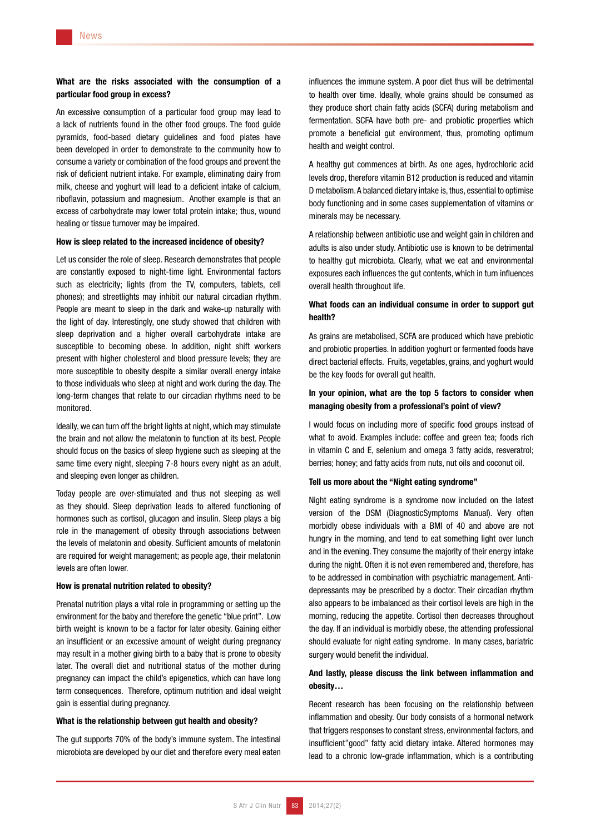# What are the risks associated with the consumption of a particular food group in excess?

An excessive consumption of a particular food group may lead to a lack of nutrients found in the other food groups. The food guide pyramids, food-based dietary guidelines and food plates have been developed in order to demonstrate to the community how to consume a variety or combination of the food groups and prevent the risk of deficient nutrient intake. For example, eliminating dairy from milk, cheese and yoghurt will lead to a deficient intake of calcium, riboflavin, potassium and magnesium. Another example is that an excess of carbohydrate may lower total protein intake; thus, wound healing or tissue turnover may be impaired.

## How is sleep related to the increased incidence of obesity?

Let us consider the role of sleep. Research demonstrates that people are constantly exposed to night-time light. Environmental factors such as electricity; lights (from the TV, computers, tablets, cell phones); and streetlights may inhibit our natural circadian rhythm. People are meant to sleep in the dark and wake-up naturally with the light of day. Interestingly, one study showed that children with sleep deprivation and a higher overall carbohydrate intake are susceptible to becoming obese. In addition, night shift workers present with higher cholesterol and blood pressure levels; they are more susceptible to obesity despite a similar overall energy intake to those individuals who sleep at night and work during the day. The long-term changes that relate to our circadian rhythms need to be monitored.

Ideally, we can turn off the bright lights at night, which may stimulate the brain and not allow the melatonin to function at its best. People should focus on the basics of sleep hygiene such as sleeping at the same time every night, sleeping 7-8 hours every night as an adult. and sleeping even longer as children.

Today people are over-stimulated and thus not sleeping as well as they should. Sleep deprivation leads to altered functioning of hormones such as cortisol, glucagon and insulin. Sleep plays a big role in the management of obesity through associations between the levels of melatonin and obesity. Sufficient amounts of melatonin are required for weight management; as people age, their melatonin levels are often lower.

#### How is prenatal nutrition related to obesity?

Prenatal nutrition plays a vital role in programming or setting up the environment for the baby and therefore the genetic "blue print". Low birth weight is known to be a factor for later obesity. Gaining either an insufficient or an excessive amount of weight during pregnancy may result in a mother giving birth to a baby that is prone to obesity later. The overall diet and nutritional status of the mother during pregnancy can impact the child's epigenetics, which can have long term consequences. Therefore, optimum nutrition and ideal weight gain is essential during pregnancy.

## What is the relationship between gut health and obesity?

The gut supports 70% of the body's immune system. The intestinal microbiota are developed by our diet and therefore every meal eaten influences the immune system. A poor diet thus will be detrimental to health over time. Ideally, whole grains should be consumed as they produce short chain fatty acids (SCFA) during metabolism and fermentation. SCFA have both pre- and probiotic properties which promote a beneficial gut environment, thus, promoting optimum health and weight control.

A healthy gut commences at birth. As one ages, hydrochloric acid levels drop, therefore vitamin B12 production is reduced and vitamin D metabolism. A balanced dietary intake is, thus, essential to optimise body functioning and in some cases supplementation of vitamins or minerals may be necessary.

A relationship between antibiotic use and weight gain in children and adults is also under study. Antibiotic use is known to be detrimental to healthy gut microbiota. Clearly, what we eat and environmental exposures each influences the gut contents, which in turn influences overall health throughout life.

## What foods can an individual consume in order to support gut health?

As grains are metabolised, SCFA are produced which have prebiotic and probiotic properties. In addition yoghurt or fermented foods have direct bacterial effects. Fruits, vegetables, grains, and yoghurt would be the key foods for overall gut health.

## In your opinion, what are the top 5 factors to consider when managing obesity from a professional's point of view?

I would focus on including more of specific food groups instead of what to avoid. Examples include: coffee and green tea; foods rich in vitamin C and E, selenium and omega 3 fatty acids, resveratrol; berries; honey; and fatty acids from nuts, nut oils and coconut oil.

## Tell us more about the "Night eating syndrome"

Night eating syndrome is a syndrome now included on the latest version of the DSM (DiagnosticSymptoms Manual). Very often morbidly obese individuals with a BMI of 40 and above are not hungry in the morning, and tend to eat something light over lunch and in the evening. They consume the majority of their energy intake during the night. Often it is not even remembered and, therefore, has to be addressed in combination with psychiatric management. Antidepressants may be prescribed by a doctor. Their circadian rhythm also appears to be imbalanced as their cortisol levels are high in the morning, reducing the appetite. Cortisol then decreases throughout the day. If an individual is morbidly obese, the attending professional should evaluate for night eating syndrome. In many cases, bariatric surgery would benefit the individual.

# And lastly, please discuss the link between inflammation and obesity…

Recent research has been focusing on the relationship between inflammation and obesity. Our body consists of a hormonal network that triggers responses to constant stress, environmental factors, and insufficient"good" fatty acid dietary intake. Altered hormones may lead to a chronic low-grade inflammation, which is a contributing